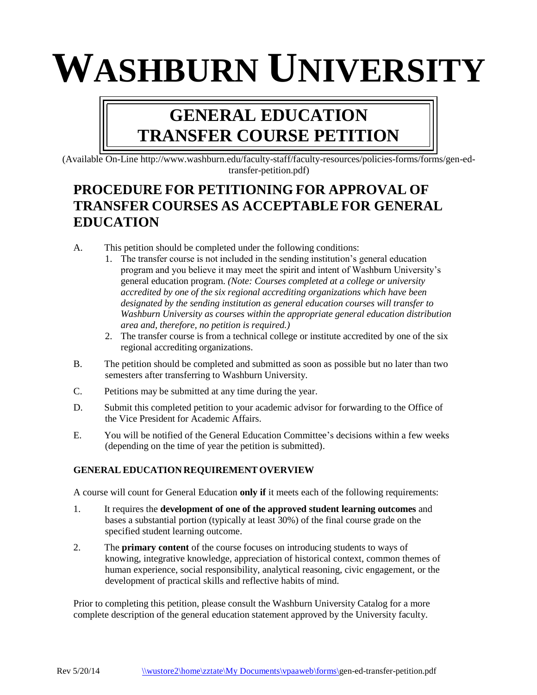# **WASHBURN UNIVERSITY**

# **GENERAL EDUCATION TRANSFER COURSE PETITION**

(Available On-Line [http://www.washburn.edu/faculty-staff/faculty-resources/policies-forms/forms/gen-ed](http://www.washburn.edu/admin/vpaa/forms/GenEdTransferPetition.pdf))[transfer-petition.pdf\)](http://www.washburn.edu/admin/vpaa/forms/GenEdTransferPetition.pdf))

# **PROCEDURE FOR PETITIONING FOR APPROVAL OF TRANSFER COURSES AS ACCEPTABLE FOR GENERAL EDUCATION**

- A. This petition should be completed under the following conditions:
	- 1. The transfer course is not included in the sending institution's general education program and you believe it may meet the spirit and intent of Washburn University's general education program. *(Note: Courses completed at a college or university accredited by one of the six regional accrediting organizations which have been designated by the sending institution as general education courses will transfer to Washburn University as courses within the appropriate general education distribution area and, therefore, no petition is required.)*
	- 2. The transfer course is from a technical college or institute accredited by one of the six regional accrediting organizations.
- B. The petition should be completed and submitted as soon as possible but no later than two semesters after transferring to Washburn University.
- C. Petitions may be submitted at any time during the year.
- D. Submit this completed petition to your academic advisor for forwarding to the Office of the Vice President for Academic Affairs.
- E. You will be notified of the General Education Committee's decisions within a few weeks (depending on the time of year the petition is submitted).

#### **GENERAL EDUCATION REQUIREMENT OVERVIEW**

A course will count for General Education **only if** it meets each of the following requirements:

- 1. It requires the **development of one of the approved student learning outcomes** and bases a substantial portion (typically at least 30%) of the final course grade on the specified student learning outcome.
- 2. The **primary content** of the course focuses on introducing students to ways of knowing, integrative knowledge, appreciation of historical context, common themes of human experience, social responsibility, analytical reasoning, civic engagement, or the development of practical skills and reflective habits of mind.

Prior to completing this petition, please consult the Washburn University Catalog for a more complete description of the general education statement approved by the University faculty.